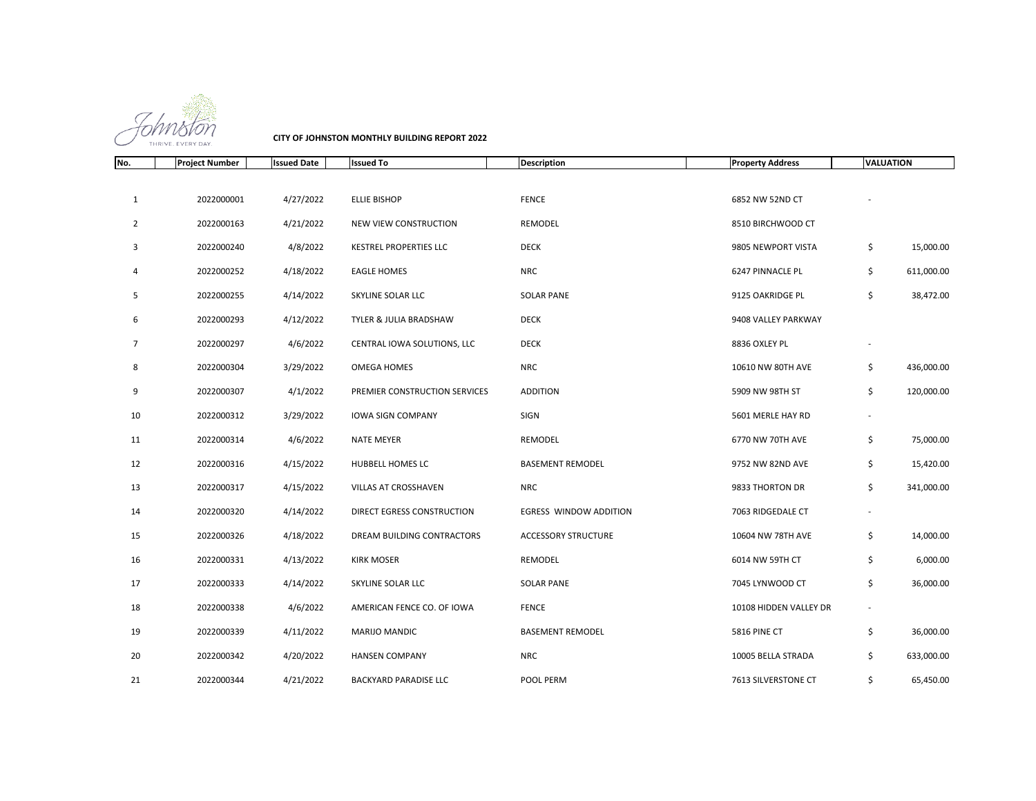

**CITY OF JOHNSTON MONTHLY BUILDING REPORT 2022**

| No.            | <b>Project Number</b> | <b>Issued Date</b> | <b>Issued To</b>              | <b>Description</b>         | <b>Property Address</b> | <b>VALUATION</b> |            |
|----------------|-----------------------|--------------------|-------------------------------|----------------------------|-------------------------|------------------|------------|
|                |                       |                    |                               |                            |                         |                  |            |
| 1              | 2022000001            | 4/27/2022          | <b>ELLIE BISHOP</b>           | <b>FENCE</b>               | 6852 NW 52ND CT         |                  |            |
| 2              | 2022000163            | 4/21/2022          | NEW VIEW CONSTRUCTION         | REMODEL                    | 8510 BIRCHWOOD CT       |                  |            |
| 3              | 2022000240            | 4/8/2022           | <b>KESTREL PROPERTIES LLC</b> | <b>DECK</b>                | 9805 NEWPORT VISTA      | \$               | 15,000.00  |
| 4              | 2022000252            | 4/18/2022          | <b>EAGLE HOMES</b>            | <b>NRC</b>                 | 6247 PINNACLE PL        | \$               | 611,000.00 |
| 5              | 2022000255            | 4/14/2022          | SKYLINE SOLAR LLC             | <b>SOLAR PANE</b>          | 9125 OAKRIDGE PL        | \$               | 38,472.00  |
| 6              | 2022000293            | 4/12/2022          | TYLER & JULIA BRADSHAW        | <b>DECK</b>                | 9408 VALLEY PARKWAY     |                  |            |
| $\overline{7}$ | 2022000297            | 4/6/2022           | CENTRAL IOWA SOLUTIONS, LLC   | <b>DECK</b>                | 8836 OXLEY PL           |                  |            |
| 8              | 2022000304            | 3/29/2022          | OMEGA HOMES                   | NRC                        | 10610 NW 80TH AVE       | \$               | 436,000.00 |
| 9              | 2022000307            | 4/1/2022           | PREMIER CONSTRUCTION SERVICES | <b>ADDITION</b>            | 5909 NW 98TH ST         | \$               | 120,000.00 |
| 10             | 2022000312            | 3/29/2022          | <b>IOWA SIGN COMPANY</b>      | SIGN                       | 5601 MERLE HAY RD       |                  |            |
| 11             | 2022000314            | 4/6/2022           | <b>NATE MEYER</b>             | REMODEL                    | 6770 NW 70TH AVE        | \$               | 75,000.00  |
| 12             | 2022000316            | 4/15/2022          | HUBBELL HOMES LC              | <b>BASEMENT REMODEL</b>    | 9752 NW 82ND AVE        | \$               | 15,420.00  |
| 13             | 2022000317            | 4/15/2022          | VILLAS AT CROSSHAVEN          | <b>NRC</b>                 | 9833 THORTON DR         | \$               | 341,000.00 |
| 14             | 2022000320            | 4/14/2022          | DIRECT EGRESS CONSTRUCTION    | EGRESS WINDOW ADDITION     | 7063 RIDGEDALE CT       |                  |            |
| 15             | 2022000326            | 4/18/2022          | DREAM BUILDING CONTRACTORS    | <b>ACCESSORY STRUCTURE</b> | 10604 NW 78TH AVE       | \$               | 14,000.00  |
| 16             | 2022000331            | 4/13/2022          | <b>KIRK MOSER</b>             | REMODEL                    | 6014 NW 59TH CT         | \$               | 6,000.00   |
| 17             | 2022000333            | 4/14/2022          | SKYLINE SOLAR LLC             | <b>SOLAR PANE</b>          | 7045 LYNWOOD CT         | \$               | 36,000.00  |
| 18             | 2022000338            | 4/6/2022           | AMERICAN FENCE CO. OF IOWA    | <b>FENCE</b>               | 10108 HIDDEN VALLEY DR  |                  |            |
| 19             | 2022000339            | 4/11/2022          | <b>MARIJO MANDIC</b>          | <b>BASEMENT REMODEL</b>    | 5816 PINE CT            | \$               | 36,000.00  |
| 20             | 2022000342            | 4/20/2022          | <b>HANSEN COMPANY</b>         | <b>NRC</b>                 | 10005 BELLA STRADA      | \$               | 633,000.00 |
| 21             | 2022000344            | 4/21/2022          | <b>BACKYARD PARADISE LLC</b>  | POOL PERM                  | 7613 SILVERSTONE CT     | \$               | 65,450.00  |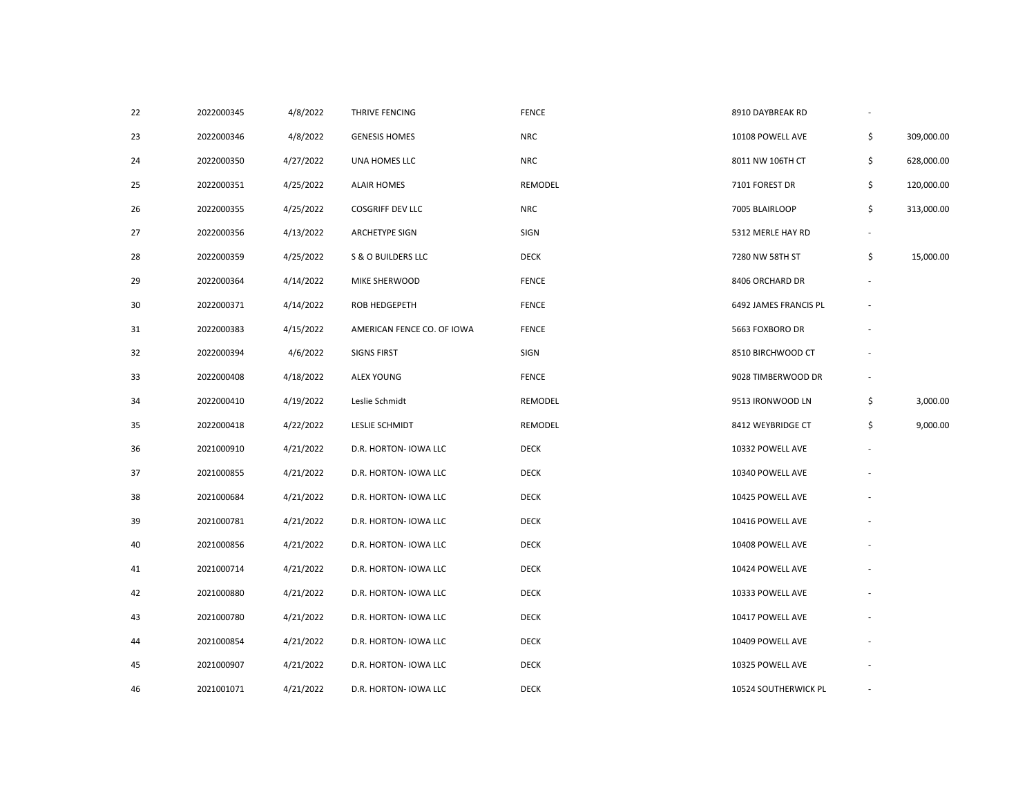| 22 | 2022000345 | 4/8/2022  | THRIVE FENCING             | <b>FENCE</b> | 8910 DAYBREAK RD      | $\overline{\phantom{a}}$ |            |
|----|------------|-----------|----------------------------|--------------|-----------------------|--------------------------|------------|
| 23 | 2022000346 | 4/8/2022  | <b>GENESIS HOMES</b>       | <b>NRC</b>   | 10108 POWELL AVE      | \$                       | 309,000.00 |
| 24 | 2022000350 | 4/27/2022 | UNA HOMES LLC              | <b>NRC</b>   | 8011 NW 106TH CT      | \$                       | 628,000.00 |
| 25 | 2022000351 | 4/25/2022 | <b>ALAIR HOMES</b>         | REMODEL      | 7101 FOREST DR        | \$                       | 120,000.00 |
| 26 | 2022000355 | 4/25/2022 | <b>COSGRIFF DEV LLC</b>    | <b>NRC</b>   | 7005 BLAIRLOOP        | \$                       | 313,000.00 |
| 27 | 2022000356 | 4/13/2022 | <b>ARCHETYPE SIGN</b>      | SIGN         | 5312 MERLE HAY RD     |                          |            |
| 28 | 2022000359 | 4/25/2022 | S & O BUILDERS LLC         | <b>DECK</b>  | 7280 NW 58TH ST       | \$                       | 15,000.00  |
| 29 | 2022000364 | 4/14/2022 | MIKE SHERWOOD              | <b>FENCE</b> | 8406 ORCHARD DR       |                          |            |
| 30 | 2022000371 | 4/14/2022 | <b>ROB HEDGEPETH</b>       | <b>FENCE</b> | 6492 JAMES FRANCIS PL |                          |            |
| 31 | 2022000383 | 4/15/2022 | AMERICAN FENCE CO. OF IOWA | <b>FENCE</b> | 5663 FOXBORO DR       |                          |            |
| 32 | 2022000394 | 4/6/2022  | <b>SIGNS FIRST</b>         | SIGN         | 8510 BIRCHWOOD CT     |                          |            |
| 33 | 2022000408 | 4/18/2022 | <b>ALEX YOUNG</b>          | <b>FENCE</b> | 9028 TIMBERWOOD DR    |                          |            |
| 34 | 2022000410 | 4/19/2022 | Leslie Schmidt             | REMODEL      | 9513 IRONWOOD LN      | \$                       | 3,000.00   |
| 35 | 2022000418 | 4/22/2022 | LESLIE SCHMIDT             | REMODEL      | 8412 WEYBRIDGE CT     | \$                       | 9,000.00   |
| 36 | 2021000910 | 4/21/2022 | D.R. HORTON- IOWA LLC      | <b>DECK</b>  | 10332 POWELL AVE      |                          |            |
| 37 | 2021000855 | 4/21/2022 | D.R. HORTON- IOWA LLC      | <b>DECK</b>  | 10340 POWELL AVE      |                          |            |
| 38 | 2021000684 | 4/21/2022 | D.R. HORTON- IOWA LLC      | <b>DECK</b>  | 10425 POWELL AVE      |                          |            |
| 39 | 2021000781 | 4/21/2022 | D.R. HORTON- IOWA LLC      | <b>DECK</b>  | 10416 POWELL AVE      |                          |            |
| 40 | 2021000856 | 4/21/2022 | D.R. HORTON- IOWA LLC      | <b>DECK</b>  | 10408 POWELL AVE      |                          |            |
| 41 | 2021000714 | 4/21/2022 | D.R. HORTON- IOWA LLC      | <b>DECK</b>  | 10424 POWELL AVE      |                          |            |
| 42 | 2021000880 | 4/21/2022 | D.R. HORTON- IOWA LLC      | <b>DECK</b>  | 10333 POWELL AVE      |                          |            |
| 43 | 2021000780 | 4/21/2022 | D.R. HORTON- IOWA LLC      | <b>DECK</b>  | 10417 POWELL AVE      |                          |            |
| 44 | 2021000854 | 4/21/2022 | D.R. HORTON- IOWA LLC      | <b>DECK</b>  | 10409 POWELL AVE      |                          |            |
| 45 | 2021000907 | 4/21/2022 | D.R. HORTON- IOWA LLC      | <b>DECK</b>  | 10325 POWELL AVE      |                          |            |
| 46 | 2021001071 | 4/21/2022 | D.R. HORTON- IOWA LLC      | <b>DECK</b>  | 10524 SOUTHERWICK PL  |                          |            |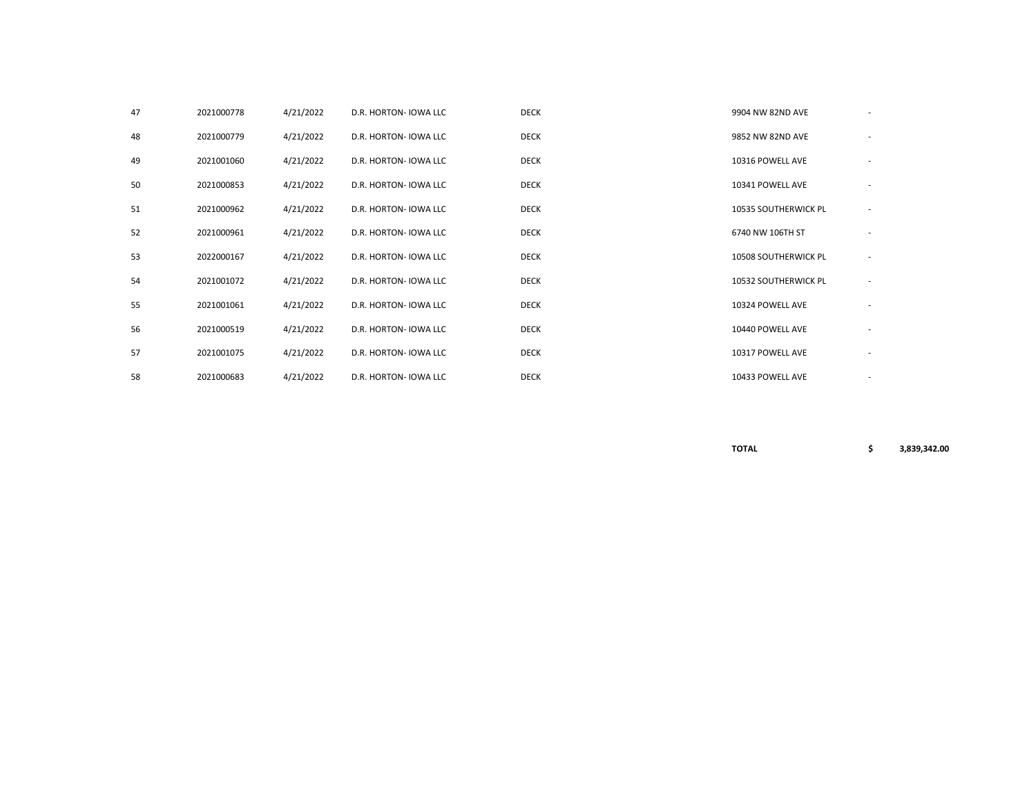| 47 | 2021000778 | 4/21/2022 | D.R. HORTON- IOWA LLC | <b>DECK</b> | 9904 NW 82ND AVE            |                          |
|----|------------|-----------|-----------------------|-------------|-----------------------------|--------------------------|
| 48 | 2021000779 | 4/21/2022 | D.R. HORTON- IOWA LLC | <b>DECK</b> | 9852 NW 82ND AVE            |                          |
| 49 | 2021001060 | 4/21/2022 | D.R. HORTON- IOWA LLC | <b>DECK</b> | 10316 POWELL AVE            |                          |
| 50 | 2021000853 | 4/21/2022 | D.R. HORTON- IOWA LLC | <b>DECK</b> | 10341 POWELL AVE            | $\overline{\phantom{a}}$ |
| 51 | 2021000962 | 4/21/2022 | D.R. HORTON- IOWA LLC | <b>DECK</b> | 10535 SOUTHERWICK PL        |                          |
| 52 | 2021000961 | 4/21/2022 | D.R. HORTON- IOWA LLC | <b>DECK</b> | 6740 NW 106TH ST            |                          |
| 53 | 2022000167 | 4/21/2022 | D.R. HORTON- IOWA LLC | <b>DECK</b> | <b>10508 SOUTHERWICK PL</b> |                          |
| 54 | 2021001072 | 4/21/2022 | D.R. HORTON- IOWA LLC | <b>DECK</b> | 10532 SOUTHERWICK PL        |                          |
| 55 | 2021001061 | 4/21/2022 | D.R. HORTON- IOWA LLC | <b>DECK</b> | 10324 POWELL AVE            |                          |
| 56 | 2021000519 | 4/21/2022 | D.R. HORTON- IOWA LLC | <b>DECK</b> | 10440 POWELL AVE            |                          |
| 57 | 2021001075 | 4/21/2022 | D.R. HORTON- IOWA LLC | <b>DECK</b> | 10317 POWELL AVE            |                          |
| 58 | 2021000683 | 4/21/2022 | D.R. HORTON- IOWA LLC | <b>DECK</b> | 10433 POWELL AVE            |                          |

**TOTAL \$ 3,839,342.00**